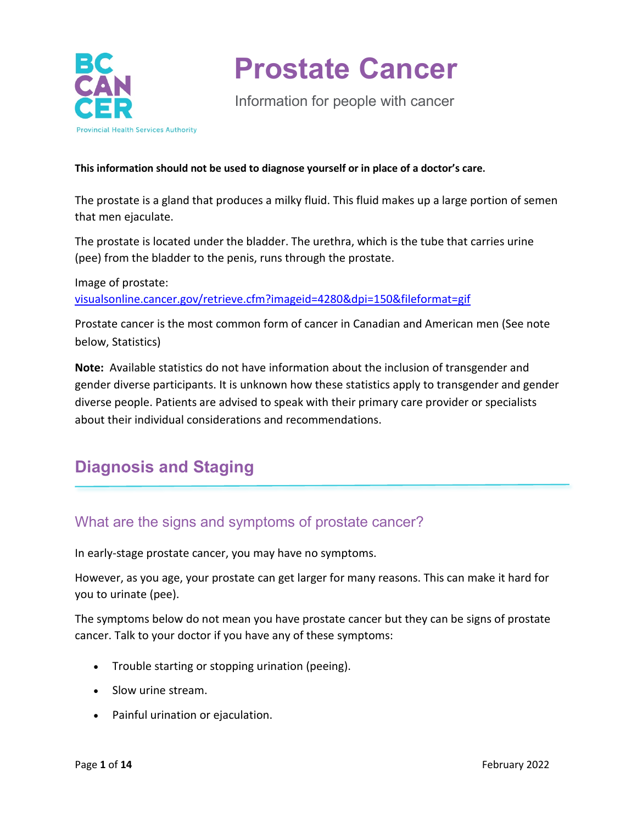

Information for people with cancer

#### **This information should not be used to diagnose yourself or in place of a doctor's care.**

The prostate is a gland that produces a milky fluid. This fluid makes up a large portion of semen that men ejaculate.

The prostate is located under the bladder. The urethra, which is the tube that carries urine (pee) from the bladder to the penis, runs through the prostate.

Image of prostate: [visualsonline.cancer.gov/retrieve.cfm?imageid=4280&dpi=150&fileformat=gif](https://visualsonline.cancer.gov/retrieve.cfm?imageid=4280&dpi=150&fileformat=gif)

Prostate cancer is the most common form of cancer in Canadian and American men (See note below, Statistics)

**Note:** Available statistics do not have information about the inclusion of transgender and gender diverse participants. It is unknown how these statistics apply to transgender and gender diverse people. Patients are advised to speak with their primary care provider or specialists about their individual considerations and recommendations.

## **Diagnosis and Staging**

### What are the signs and symptoms of prostate cancer?

In early-stage prostate cancer, you may have no symptoms.

However, as you age, your prostate can get larger for many reasons. This can make it hard for you to urinate (pee).

The symptoms below do not mean you have prostate cancer but they can be signs of prostate cancer. Talk to your doctor if you have any of these symptoms:

- Trouble starting or stopping urination (peeing).
- Slow urine stream.
- Painful urination or ejaculation.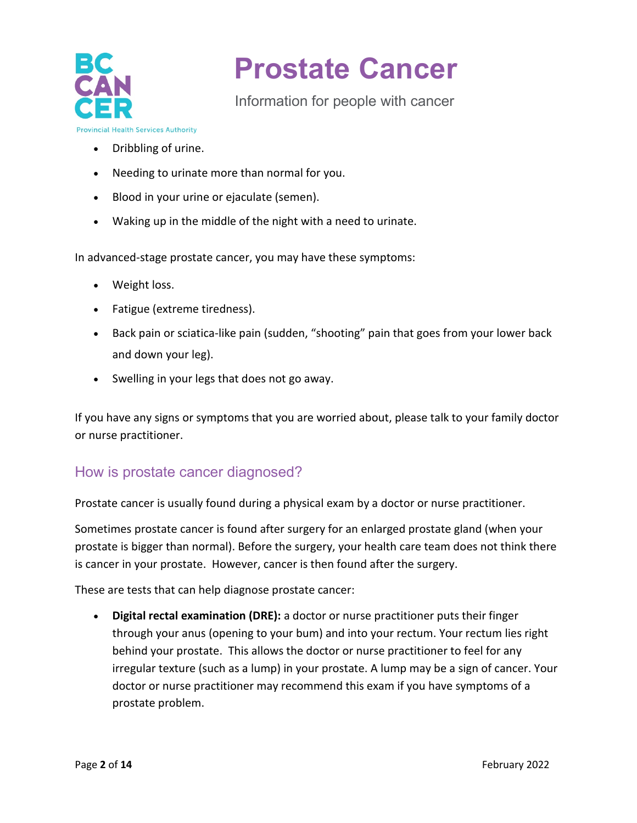

Information for people with cancer

**Provincial Health Services Authority** 

- Dribbling of urine.
- Needing to urinate more than normal for you.
- Blood in your urine or ejaculate (semen).
- Waking up in the middle of the night with a need to urinate.

In advanced-stage prostate cancer, you may have these symptoms:

- Weight loss.
- Fatigue (extreme tiredness).
- Back pain or sciatica-like pain (sudden, "shooting" pain that goes from your lower back and down your leg).
- Swelling in your legs that does not go away.

If you have any signs or symptoms that you are worried about, please talk to your family doctor or nurse practitioner.

### How is prostate cancer diagnosed?

Prostate cancer is usually found during a physical exam by a doctor or nurse practitioner.

Sometimes prostate cancer is found after surgery for an enlarged prostate gland (when your prostate is bigger than normal). Before the surgery, your health care team does not think there is cancer in your prostate. However, cancer is then found after the surgery.

These are tests that can help diagnose prostate cancer:

• **Digital rectal examination (DRE):** a doctor or nurse practitioner puts their finger through your anus (opening to your bum) and into your rectum. Your rectum lies right behind your prostate. This allows the doctor or nurse practitioner to feel for any irregular texture (such as a lump) in your prostate. A lump may be a sign of cancer. Your doctor or nurse practitioner may recommend this exam if you have symptoms of a prostate problem.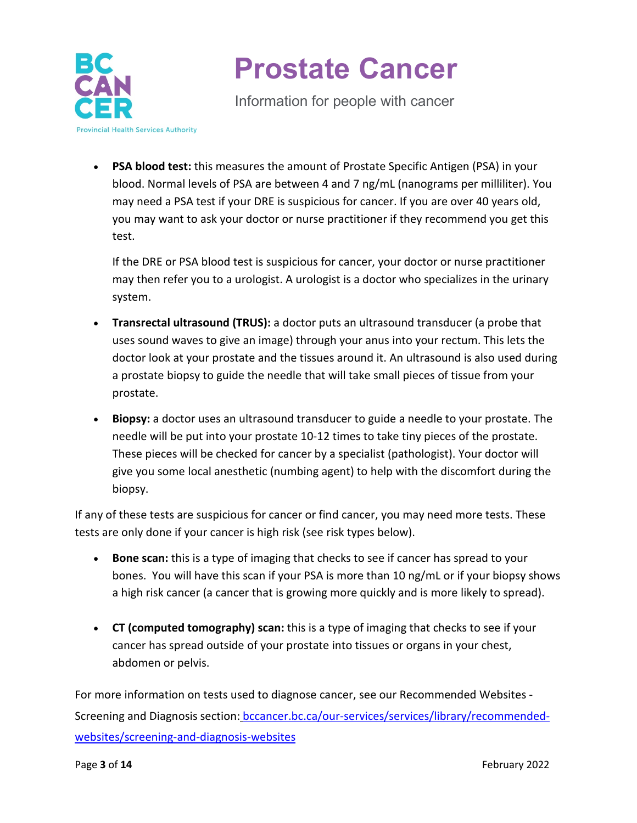

Information for people with cancer

• **PSA blood test:** this measures the amount of Prostate Specific Antigen (PSA) in your blood. Normal levels of PSA are between 4 and 7 ng/mL (nanograms per milliliter). You may need a PSA test if your DRE is suspicious for cancer. If you are over 40 years old, you may want to ask your doctor or nurse practitioner if they recommend you get this test.

If the DRE or PSA blood test is suspicious for cancer, your doctor or nurse practitioner may then refer you to a urologist. A urologist is a doctor who specializes in the urinary system.

- **Transrectal ultrasound (TRUS):** a doctor puts an ultrasound transducer (a probe that uses sound waves to give an image) through your anus into your rectum. This lets the doctor look at your prostate and the tissues around it. An ultrasound is also used during a prostate biopsy to guide the needle that will take small pieces of tissue from your prostate.
- **Biopsy:** a doctor uses an ultrasound transducer to guide a needle to your prostate. The needle will be put into your prostate 10-12 times to take tiny pieces of the prostate. These pieces will be checked for cancer by a specialist (pathologist). Your doctor will give you some local anesthetic (numbing agent) to help with the discomfort during the biopsy.

If any of these tests are suspicious for cancer or find cancer, you may need more tests. These tests are only done if your cancer is high risk (see risk types below).

- **Bone scan:** this is a type of imaging that checks to see if cancer has spread to your bones. You will have this scan if your PSA is more than 10 ng/mL or if your biopsy shows a high risk cancer (a cancer that is growing more quickly and is more likely to spread).
- **CT (computed tomography) scan:** this is a type of imaging that checks to see if your cancer has spread outside of your prostate into tissues or organs in your chest, abdomen or pelvis.

For more information on tests used to diagnose cancer, see our Recommended Websites - Screening and Diagnosis section: [bccancer.bc.ca/our-services/services/library/recommended](http://www.bccancer.bc.ca/our-services/services/library/recommended-websites/screening-and-diagnosis-websites)[websites/screening-and-diagnosis-websites](http://www.bccancer.bc.ca/our-services/services/library/recommended-websites/screening-and-diagnosis-websites)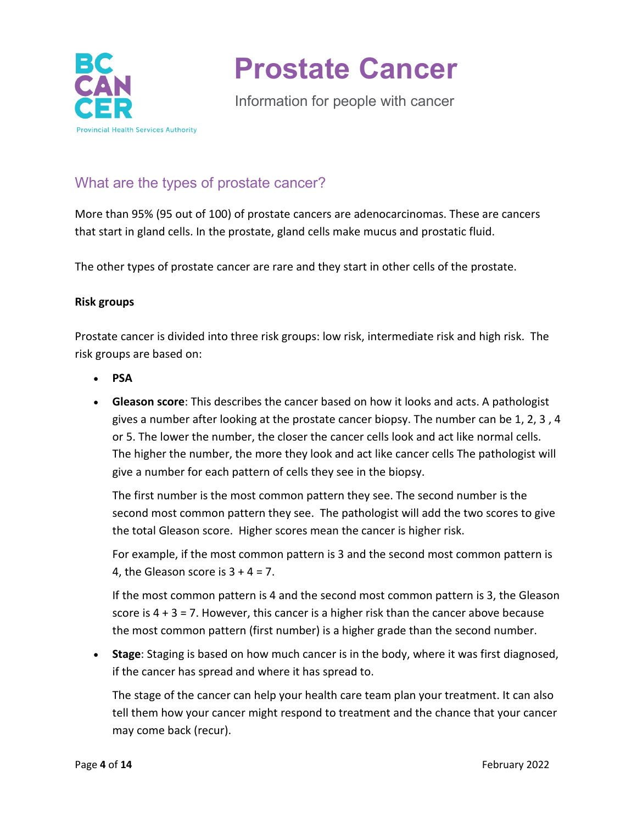

Information for people with cancer

### What are the types of prostate cancer?

More than 95% (95 out of 100) of prostate cancers are adenocarcinomas. These are cancers that start in gland cells. In the prostate, gland cells make mucus and prostatic fluid.

The other types of prostate cancer are rare and they start in other cells of the prostate.

#### **Risk groups**

Prostate cancer is divided into three risk groups: low risk, intermediate risk and high risk. The risk groups are based on:

- **PSA**
- **Gleason score**: This describes the cancer based on how it looks and acts. A pathologist gives a number after looking at the prostate cancer biopsy. The number can be 1, 2, 3 , 4 or 5. The lower the number, the closer the cancer cells look and act like normal cells. The higher the number, the more they look and act like cancer cells The pathologist will give a number for each pattern of cells they see in the biopsy.

The first number is the most common pattern they see. The second number is the second most common pattern they see. The pathologist will add the two scores to give the total Gleason score. Higher scores mean the cancer is higher risk.

For example, if the most common pattern is 3 and the second most common pattern is 4, the Gleason score is  $3 + 4 = 7$ .

If the most common pattern is 4 and the second most common pattern is 3, the Gleason score is  $4 + 3 = 7$ . However, this cancer is a higher risk than the cancer above because the most common pattern (first number) is a higher grade than the second number.

• **Stage**: Staging is based on how much cancer is in the body, where it was first diagnosed, if the cancer has spread and where it has spread to.

The stage of the cancer can help your health care team plan your treatment. It can also tell them how your cancer might respond to treatment and the chance that your cancer may come back (recur).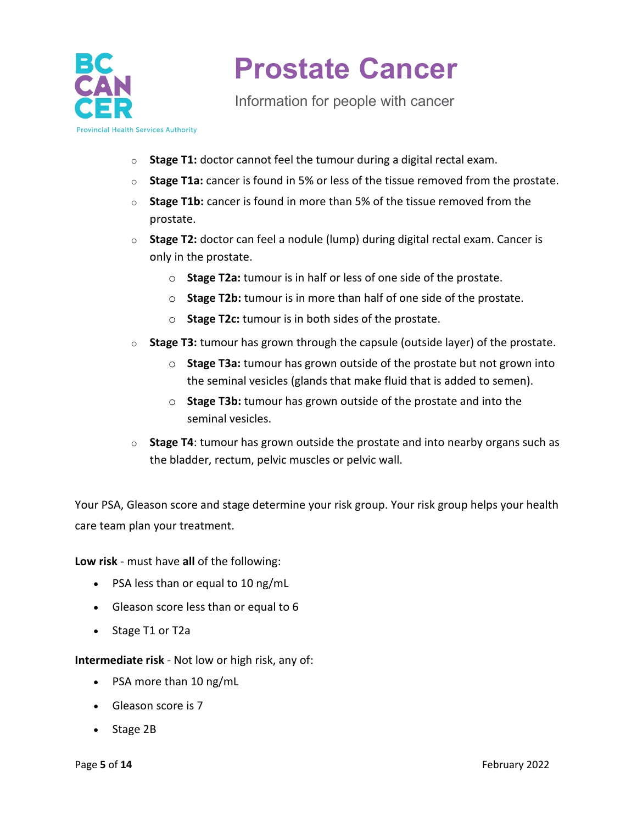

Information for people with cancer

**Provincial Health Services Authority** 

- o **Stage T1:** doctor cannot feel the tumour during a digital rectal exam.
- o **Stage T1a:** cancer is found in 5% or less of the tissue removed from the prostate.
- o **Stage T1b:** cancer is found in more than 5% of the tissue removed from the prostate.
- o **Stage T2:** doctor can feel a nodule (lump) during digital rectal exam. Cancer is only in the prostate.
	- o **Stage T2a:** tumour is in half or less of one side of the prostate.
	- o **Stage T2b:** tumour is in more than half of one side of the prostate.
	- o **Stage T2c:** tumour is in both sides of the prostate.
- o **Stage T3:** tumour has grown through the capsule (outside layer) of the prostate.
	- o **Stage T3a:** tumour has grown outside of the prostate but not grown into the seminal vesicles (glands that make fluid that is added to semen).
	- o **Stage T3b:** tumour has grown outside of the prostate and into the seminal vesicles.
- o **Stage T4**: tumour has grown outside the prostate and into nearby organs such as the bladder, rectum, pelvic muscles or pelvic wall.

Your PSA, Gleason score and stage determine your risk group. Your risk group helps your health care team plan your treatment.

**Low risk** - must have **all** of the following:

- PSA less than or equal to 10 ng/mL
- Gleason score less than or equal to 6
- Stage T1 or T2a

**Intermediate risk** - Not low or high risk, any of:

- PSA more than 10 ng/mL
- Gleason score is 7
- Stage 2B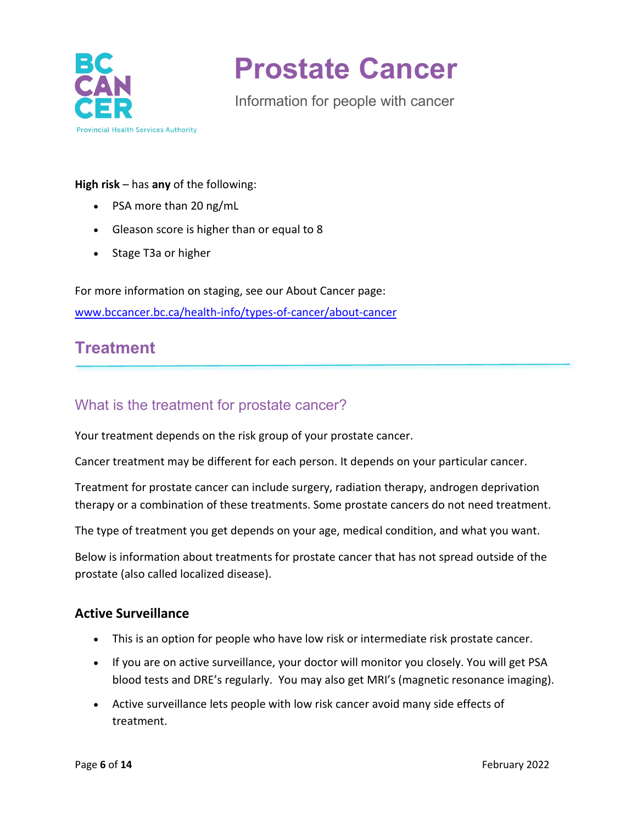

Information for people with cancer

#### **High risk** – has **any** of the following:

- PSA more than 20 ng/mL
- Gleason score is higher than or equal to 8
- Stage T3a or higher

For more information on staging, see our About Cancer page: [www.bccancer.bc.ca/health-info/types-of-cancer/about-cancer](http://www.bccancer.bc.ca/health-info/types-of-cancer/about-cancer)

### **Treatment**

### What is the treatment for prostate cancer?

Your treatment depends on the risk group of your prostate cancer.

Cancer treatment may be different for each person. It depends on your particular cancer.

Treatment for prostate cancer can include surgery, radiation therapy, androgen deprivation therapy or a combination of these treatments. Some prostate cancers do not need treatment.

The type of treatment you get depends on your age, medical condition, and what you want.

Below is information about treatments for prostate cancer that has not spread outside of the prostate (also called localized disease).

#### **Active Surveillance**

- This is an option for people who have low risk or intermediate risk prostate cancer.
- If you are on active surveillance, your doctor will monitor you closely. You will get PSA blood tests and DRE's regularly. You may also get MRI's (magnetic resonance imaging).
- Active surveillance lets people with low risk cancer avoid many side effects of treatment.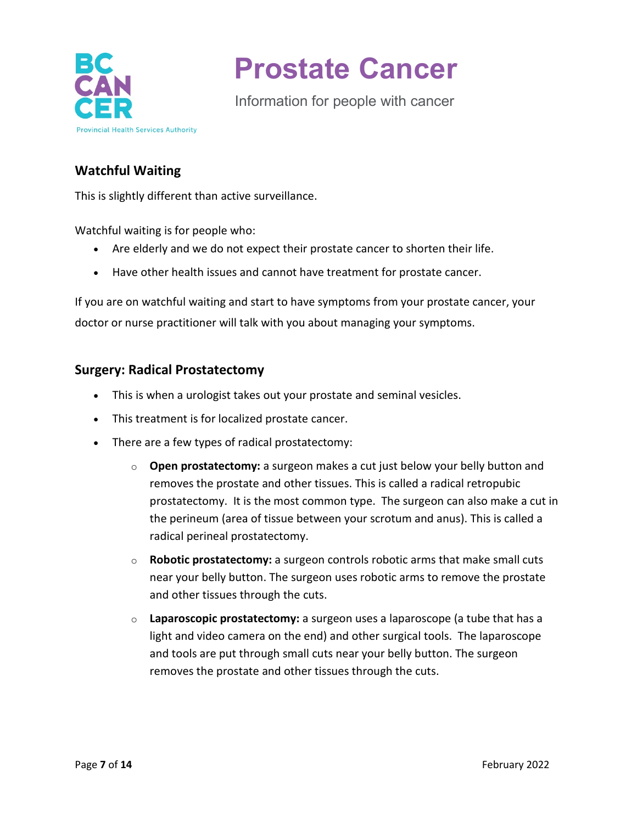

Information for people with cancer

### **Watchful Waiting**

This is slightly different than active surveillance.

Watchful waiting is for people who:

- Are elderly and we do not expect their prostate cancer to shorten their life.
- Have other health issues and cannot have treatment for prostate cancer.

If you are on watchful waiting and start to have symptoms from your prostate cancer, your doctor or nurse practitioner will talk with you about managing your symptoms.

#### **Surgery: Radical Prostatectomy**

- This is when a urologist takes out your prostate and seminal vesicles.
- This treatment is for localized prostate cancer.
- There are a few types of radical prostatectomy:
	- o **Open prostatectomy:** a surgeon makes a cut just below your belly button and removes the prostate and other tissues. This is called a radical retropubic prostatectomy. It is the most common type. The surgeon can also make a cut in the perineum (area of tissue between your scrotum and anus). This is called a radical perineal prostatectomy.
	- o **Robotic prostatectomy:** a surgeon controls robotic arms that make small cuts near your belly button. The surgeon uses robotic arms to remove the prostate and other tissues through the cuts.
	- o **Laparoscopic prostatectomy:** a surgeon uses a laparoscope (a tube that has a light and video camera on the end) and other surgical tools. The laparoscope and tools are put through small cuts near your belly button. The surgeon removes the prostate and other tissues through the cuts.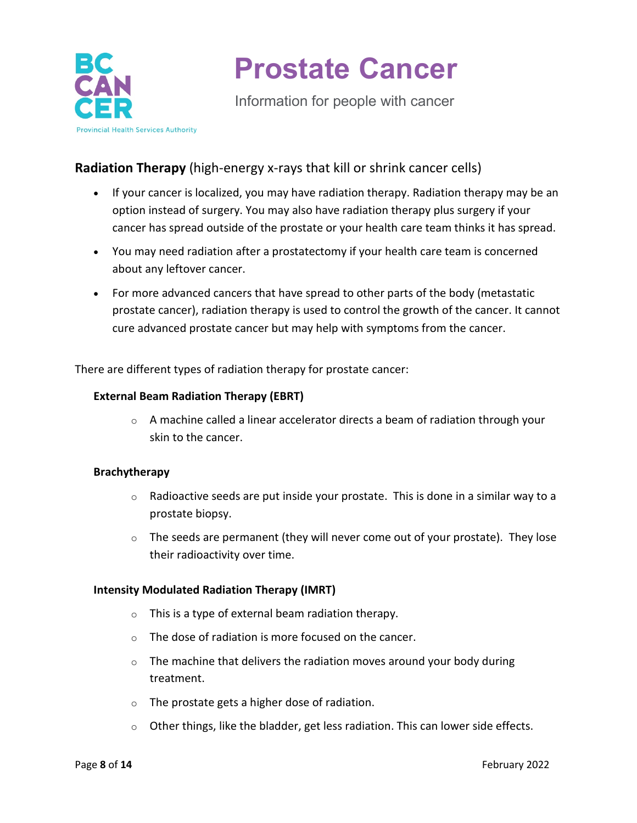

Information for people with cancer

### **Radiation Therapy** (high-energy x-rays that kill or shrink cancer cells)

- If your cancer is localized, you may have radiation therapy. Radiation therapy may be an option instead of surgery. You may also have radiation therapy plus surgery if your cancer has spread outside of the prostate or your health care team thinks it has spread.
- You may need radiation after a prostatectomy if your health care team is concerned about any leftover cancer.
- For more advanced cancers that have spread to other parts of the body (metastatic prostate cancer), radiation therapy is used to control the growth of the cancer. It cannot cure advanced prostate cancer but may help with symptoms from the cancer.

There are different types of radiation therapy for prostate cancer:

#### **External Beam Radiation Therapy (EBRT)**

 $\circ$  A machine called a linear accelerator directs a beam of radiation through your skin to the cancer.

#### **Brachytherapy**

- $\circ$  Radioactive seeds are put inside your prostate. This is done in a similar way to a prostate biopsy.
- $\circ$  The seeds are permanent (they will never come out of your prostate). They lose their radioactivity over time.

#### **Intensity Modulated Radiation Therapy (IMRT)**

- o This is a type of external beam radiation therapy.
- o The dose of radiation is more focused on the cancer.
- $\circ$  The machine that delivers the radiation moves around your body during treatment.
- o The prostate gets a higher dose of radiation.
- $\circ$  Other things, like the bladder, get less radiation. This can lower side effects.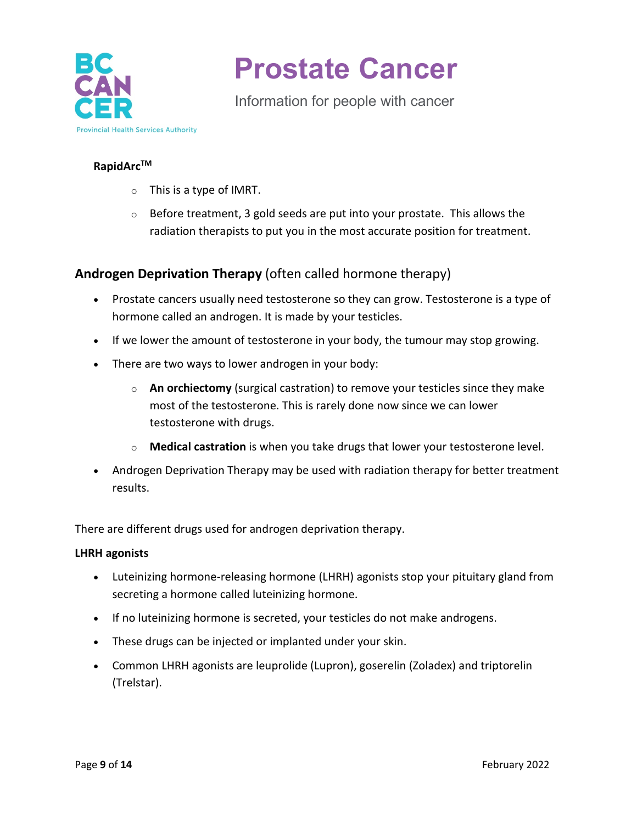

Information for people with cancer

#### **RapidArc™**

- o This is a type of IMRT.
- $\circ$  Before treatment, 3 gold seeds are put into your prostate. This allows the radiation therapists to put you in the most accurate position for treatment.

### **Androgen Deprivation Therapy** (often called hormone therapy)

- Prostate cancers usually need testosterone so they can grow. Testosterone is a type of hormone called an androgen. It is made by your testicles.
- If we lower the amount of testosterone in your body, the tumour may stop growing.
- There are two ways to lower androgen in your body:
	- o **An orchiectomy** (surgical castration) to remove your testicles since they make most of the testosterone. This is rarely done now since we can lower testosterone with drugs.
	- o **Medical castration** is when you take drugs that lower your testosterone level.
- Androgen Deprivation Therapy may be used with radiation therapy for better treatment results.

There are different drugs used for androgen deprivation therapy.

#### **LHRH agonists**

- Luteinizing hormone-releasing hormone (LHRH) agonists stop your pituitary gland from secreting a hormone called luteinizing hormone.
- If no luteinizing hormone is secreted, your testicles do not make androgens.
- These drugs can be injected or implanted under your skin.
- Common LHRH agonists are leuprolide (Lupron), goserelin (Zoladex) and triptorelin (Trelstar).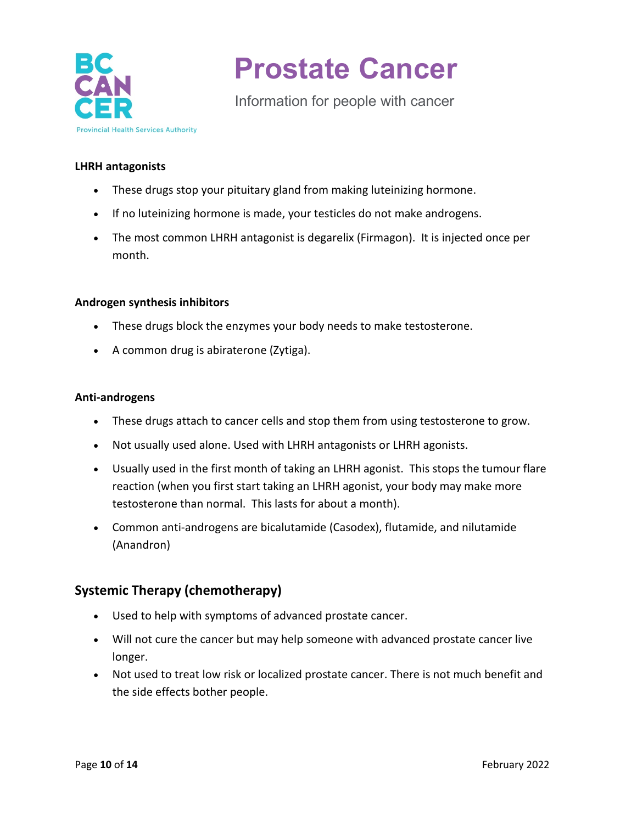

Information for people with cancer

#### **LHRH antagonists**

- These drugs stop your pituitary gland from making luteinizing hormone.
- If no luteinizing hormone is made, your testicles do not make androgens.
- The most common LHRH antagonist is degarelix (Firmagon). It is injected once per month.

#### **Androgen synthesis inhibitors**

- These drugs block the enzymes your body needs to make testosterone.
- A common drug is abiraterone (Zytiga).

#### **Anti-androgens**

- These drugs attach to cancer cells and stop them from using testosterone to grow.
- Not usually used alone. Used with LHRH antagonists or LHRH agonists.
- Usually used in the first month of taking an LHRH agonist. This stops the tumour flare reaction (when you first start taking an LHRH agonist, your body may make more testosterone than normal. This lasts for about a month).
- Common anti-androgens are bicalutamide (Casodex), flutamide, and nilutamide (Anandron)

### **Systemic Therapy (chemotherapy)**

- Used to help with symptoms of advanced prostate cancer.
- Will not cure the cancer but may help someone with advanced prostate cancer live longer.
- Not used to treat low risk or localized prostate cancer. There is not much benefit and the side effects bother people.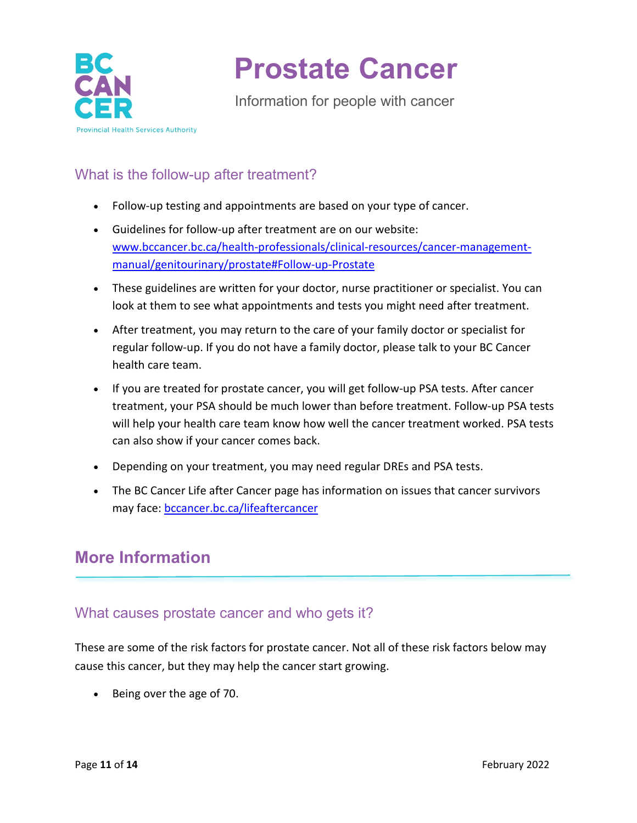

Information for people with cancer

### What is the follow-up after treatment?

- Follow-up testing and appointments are based on your type of cancer.
- Guidelines for follow-up after treatment are on our website: [www.bccancer.bc.ca/health-professionals/clinical-resources/cancer-management](http://www.bccancer.bc.ca/health-professionals/clinical-resources/cancer-management-manual/genitourinary/prostate#Follow-up-Prostate)[manual/genitourinary/prostate#Follow-up-Prostate](http://www.bccancer.bc.ca/health-professionals/clinical-resources/cancer-management-manual/genitourinary/prostate#Follow-up-Prostate)
- These guidelines are written for your doctor, nurse practitioner or specialist. You can look at them to see what appointments and tests you might need after treatment.
- After treatment, you may return to the care of your family doctor or specialist for regular follow-up. If you do not have a family doctor, please talk to your BC Cancer health care team.
- If you are treated for prostate cancer, you will get follow-up PSA tests. After cancer treatment, your PSA should be much lower than before treatment. Follow-up PSA tests will help your health care team know how well the cancer treatment worked. PSA tests can also show if your cancer comes back.
- Depending on your treatment, you may need regular DREs and PSA tests.
- The BC Cancer Life after Cancer page has information on issues that cancer survivors may face: [bccancer.bc.ca/lifeaftercancer](http://www.bccancer.bc.ca/lifeaftercancer)

## **More Information**

### What causes prostate cancer and who gets it?

These are some of the risk factors for prostate cancer. Not all of these risk factors below may cause this cancer, but they may help the cancer start growing.

• Being over the age of 70.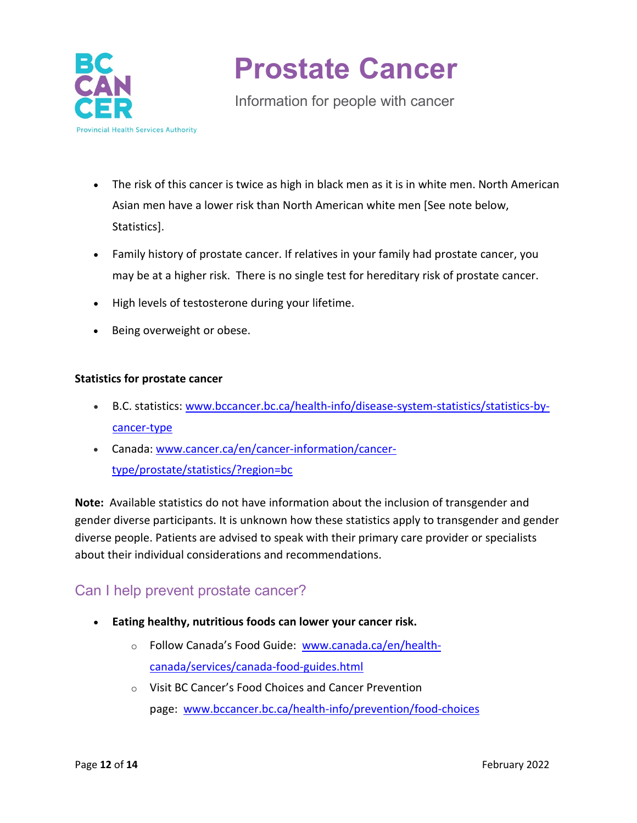

Information for people with cancer

- The risk of this cancer is twice as high in black men as it is in white men. North American Asian men have a lower risk than North American white men [See note below, Statistics].
- Family history of prostate cancer. If relatives in your family had prostate cancer, you may be at a higher risk. There is no single test for hereditary risk of prostate cancer.
- High levels of testosterone during your lifetime.
- Being overweight or obese.

#### **Statistics for prostate cancer**

- B.C. statistics: [www.bccancer.bc.ca/health-info/disease-system-statistics/statistics-by](http://www.bccancer.bc.ca/health-info/disease-system-statistics/statistics-by-cancer-type)[cancer-type](http://www.bccancer.bc.ca/health-info/disease-system-statistics/statistics-by-cancer-type)
- Canada: [www.cancer.ca/en/cancer-information/cancer](http://www.cancer.ca/en/cancer-information/cancer-type/prostate/statistics/?region=bc)[type/prostate/statistics/?region=bc](http://www.cancer.ca/en/cancer-information/cancer-type/prostate/statistics/?region=bc)

**Note:** Available statistics do not have information about the inclusion of transgender and gender diverse participants. It is unknown how these statistics apply to transgender and gender diverse people. Patients are advised to speak with their primary care provider or specialists about their individual considerations and recommendations.

### Can I help prevent prostate cancer?

- **Eating healthy, nutritious foods can lower your cancer risk.**
	- o Follow Canada's Food Guide: [www.canada.ca/en/health](https://www.canada.ca/en/health-canada/services/canada-food-guides.html)[canada/services/canada-food-guides.html](https://www.canada.ca/en/health-canada/services/canada-food-guides.html)
	- o Visit BC Cancer's Food Choices and Cancer Prevention page: [www.bccancer.bc.ca/health-info/prevention/food-choices](http://www.bccancer.bc.ca/health-info/prevention/food-choices)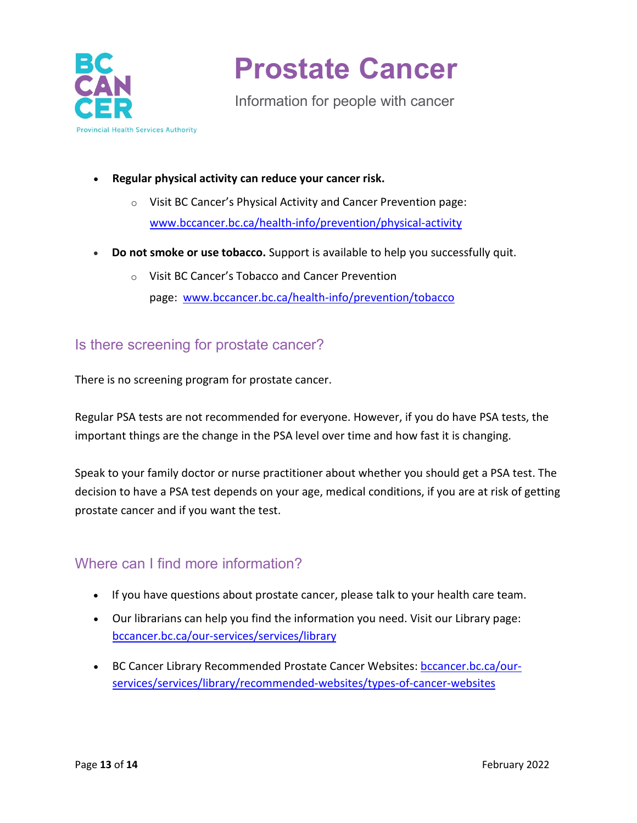

Information for people with cancer

- **Regular physical activity can reduce your cancer risk.** 
	- o Visit BC Cancer's Physical Activity and Cancer Prevention page: [www.bccancer.bc.ca/health-info/prevention/physical-activity](http://www.bccancer.bc.ca/health-info/prevention/physical-activity)
- **Do not smoke or use tobacco.** Support is available to help you successfully quit.
	- o Visit BC Cancer's Tobacco and Cancer Prevention page: [www.bccancer.bc.ca/health-info/prevention/tobacco](http://www.bccancer.bc.ca/health-info/prevention/tobacco)

### Is there screening for prostate cancer?

There is no screening program for prostate cancer.

Regular PSA tests are not recommended for everyone. However, if you do have PSA tests, the important things are the change in the PSA level over time and how fast it is changing.

Speak to your family doctor or nurse practitioner about whether you should get a PSA test. The decision to have a PSA test depends on your age, medical conditions, if you are at risk of getting prostate cancer and if you want the test.

### Where can I find more information?

- If you have questions about prostate cancer, please talk to your health care team.
- Our librarians can help you find the information you need. Visit our Library page: [bccancer.bc.ca/our-services/services/library](http://www.bccancer.bc.ca/our-services/services/library)
- BC Cancer Library Recommended Prostate Cancer Websites: [bccancer.bc.ca/our](http://www.bccancer.bc.ca/our-services/services/library/recommended-websites/types-of-cancer-websites)[services/services/library/recommended-websites/types-of-cancer-websites](http://www.bccancer.bc.ca/our-services/services/library/recommended-websites/types-of-cancer-websites)